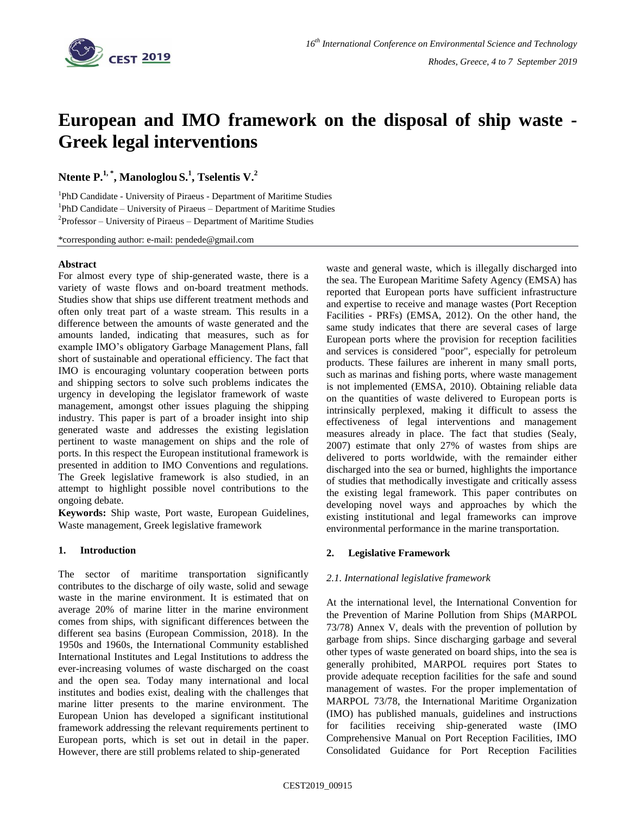

# **European and IMO framework on the disposal of ship waste - Greek legal interventions**

**Ntente P. 1, \* , Manologlou S. 1 , Tselentis V.<sup>2</sup>**

<sup>1</sup>PhD Candidate - University of Piraeus - Department of Maritime Studies <sup>1</sup>PhD Candidate – University of Piraeus – Department of Maritime Studies  $2P$ rofessor – University of Piraeus – Department of Maritime Studies

\*corresponding author: e-mail: pendede@gmail.com

### **Abstract**

For almost every type of ship-generated waste, there is a variety of waste flows and on-board treatment methods. Studies show that ships use different treatment methods and often only treat part of a waste stream. This results in a difference between the amounts of waste generated and the amounts landed, indicating that measures, such as for example IMO's obligatory Garbage Management Plans, fall short of sustainable and operational efficiency. The fact that IMO is encouraging voluntary cooperation between ports and shipping sectors to solve such problems indicates the urgency in developing the legislator framework of waste management, amongst other issues plaguing the shipping industry. This paper is part of a broader insight into ship generated waste and addresses the existing legislation pertinent to waste management on ships and the role of ports. In this respect the European institutional framework is presented in addition to IMO Conventions and regulations. The Greek legislative framework is also studied, in an attempt to highlight possible novel contributions to the ongoing debate.

**Keywords:** Ship waste, Port waste, European Guidelines, Waste management, Greek legislative framework

### **1. Introduction**

The sector of maritime transportation significantly contributes to the discharge of oily waste, solid and sewage waste in the marine environment. It is estimated that on average 20% of marine litter in the marine environment comes from ships, with significant differences between the different sea basins (European Commission, 2018). In the 1950s and 1960s, the International Community established International Institutes and Legal Institutions to address the ever-increasing volumes of waste discharged on the coast and the open sea. Today many international and local institutes and bodies exist, dealing with the challenges that marine litter presents to the marine environment. The European Union has developed a significant institutional framework addressing the relevant requirements pertinent to European ports, which is set out in detail in the paper. However, there are still problems related to ship-generated

waste and general waste, which is illegally discharged into the sea. The European Maritime Safety Agency (EMSA) has reported that European ports have sufficient infrastructure and expertise to receive and manage wastes (Port Reception Facilities - PRFs) (EMSA, 2012). On the other hand, the same study indicates that there are several cases of large European ports where the provision for reception facilities and services is considered "poor", especially for petroleum products. These failures are inherent in many small ports, such as marinas and fishing ports, where waste management is not implemented (EMSA, 2010). Obtaining reliable data on the quantities of waste delivered to European ports is intrinsically perplexed, making it difficult to assess the effectiveness of legal interventions and management measures already in place. The fact that studies (Sealy, 2007) estimate that only 27% of wastes from ships are delivered to ports worldwide, with the remainder either discharged into the sea or burned, highlights the importance of studies that methodically investigate and critically assess the existing legal framework. This paper contributes on developing novel ways and approaches by which the existing institutional and legal frameworks can improve environmental performance in the marine transportation.

### **2. Legislative Framework**

### *2.1. International legislative framework*

At the international level, the International Convention for the Prevention of Marine Pollution from Ships (MARPOL 73/78) Annex V, deals with the prevention of pollution by garbage from ships. Since discharging garbage and several other types of waste generated on board ships, into the sea is generally prohibited, MARPOL requires port States to provide adequate reception facilities for the safe and sound management of wastes. For the proper implementation of MARPOL 73/78, the International Maritime Organization (IMO) has published manuals, guidelines and instructions for facilities receiving ship-generated waste (IMO Comprehensive Manual on Port Reception Facilities, IMO Consolidated Guidance for Port Reception Facilities